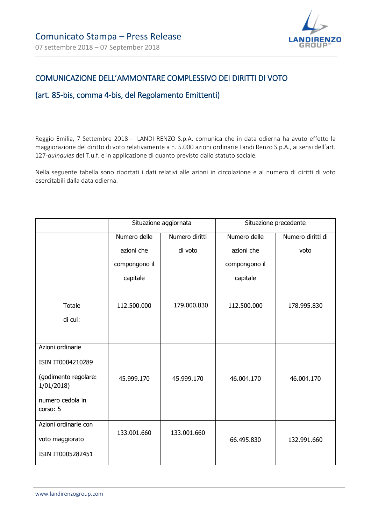

# COMUNICAZIONE DELL'AMMONTARE COMPLESSIVO DEI DIRITTI DI VOTO

#### (art. 85-bis, comma 4-bis, del Regolamento Emittenti)

Reggio Emilia, 7 Settembre 2018 - LANDI RENZO S.p.A. comunica che in data odierna ha avuto effetto la maggiorazione del diritto di voto relativamente a n. 5.000 azioni ordinarie Landi Renzo S.p.A., ai sensi dell'art. 127-*quinquies* del T.u.f. e in applicazione di quanto previsto dallo statuto sociale.

Nella seguente tabella sono riportati i dati relativi alle azioni in circolazione e al numero di diritti di voto esercitabili dalla data odierna.

|                                                                                                            | Situazione aggiornata |                | Situazione precedente |                   |
|------------------------------------------------------------------------------------------------------------|-----------------------|----------------|-----------------------|-------------------|
|                                                                                                            | Numero delle          | Numero diritti | Numero delle          | Numero diritti di |
|                                                                                                            | azioni che            | di voto        | azioni che            | voto              |
|                                                                                                            | compongono il         |                | compongono il         |                   |
|                                                                                                            | capitale              |                | capitale              |                   |
| Totale<br>di cui:                                                                                          | 112.500.000           | 179.000.830    | 112.500.000           | 178.995.830       |
| Azioni ordinarie<br>ISIN IT0004210289<br>(godimento regolare:<br>1/01/2018<br>numero cedola in<br>corso: 5 | 45.999.170            | 45.999.170     | 46.004.170            | 46.004.170        |
| Azioni ordinarie con<br>voto maggiorato<br>ISIN IT0005282451                                               | 133.001.660           | 133.001.660    | 66.495.830            | 132.991.660       |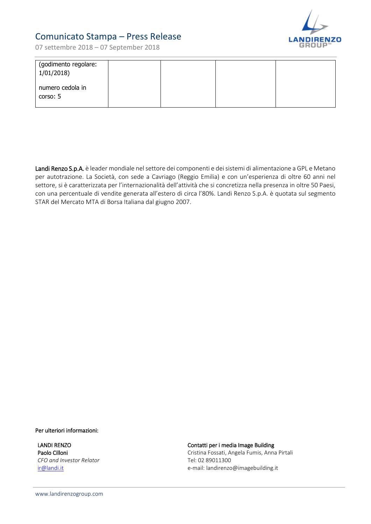

# Comunicato Stampa – Press Release

07 settembre 2018 – 07 September 2018

| (godimento regolare:<br>1/01/2018 |  |  |
|-----------------------------------|--|--|
| numero cedola in<br>corso: 5      |  |  |

Landi Renzo S.p.A. è leader mondiale nel settore dei componenti e dei sistemi di alimentazione a GPL e Metano per autotrazione. La Società, con sede a Cavriago (Reggio Emilia) e con un'esperienza di oltre 60 anni nel settore, si è caratterizzata per l'internazionalità dell'attività che si concretizza nella presenza in oltre 50 Paesi, con una percentuale di vendite generata all'estero di circa l'80%. Landi Renzo S.p.A. è quotata sul segmento STAR del Mercato MTA di Borsa Italiana dal giugno 2007.

Per ulteriori informazioni:

LANDI RENZO Paolo Cilloni *CFO and Investor Relator* [ir@landi.it](mailto:ir@landi.it) 

Contatti per i media Image Building

Cristina Fossati, Angela Fumis, Anna Pirtali Tel: 02 89011300 e-mail: [landirenzo@imagebuilding.it](mailto:landirenzo@imagebuilding.it)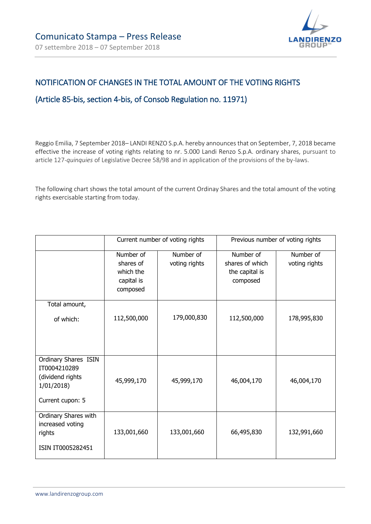

## NOTIFICATION OF CHANGES IN THE TOTAL AMOUNT OF THE VOTING RIGHTS

#### (Article 85-bis, section 4-bis, of Consob Regulation no. 11971)

Reggio Emilia, 7 September 2018– LANDI RENZO S.p.A. hereby announces that on September, 7, 2018 became effective the increase of voting rights relating to nr. 5.000 Landi Renzo S.p.A. ordinary shares, pursuant to article 127-*quinquies* of Legislative Decree 58/98 and in application of the provisions of the by-laws.

The following chart shows the total amount of the current Ordinay Shares and the total amount of the voting rights exercisable starting from today.

|                                                                                           | Current number of voting rights                               |                            | Previous number of voting rights                           |                            |
|-------------------------------------------------------------------------------------------|---------------------------------------------------------------|----------------------------|------------------------------------------------------------|----------------------------|
|                                                                                           | Number of<br>shares of<br>which the<br>capital is<br>composed | Number of<br>voting rights | Number of<br>shares of which<br>the capital is<br>composed | Number of<br>voting rights |
| Total amount,<br>of which:                                                                | 112,500,000                                                   | 179,000,830                | 112,500,000                                                | 178,995,830                |
| Ordinary Shares ISIN<br>IT0004210289<br>(dividend rights<br>1/01/2018<br>Current cupon: 5 | 45,999,170                                                    | 45,999,170                 | 46,004,170                                                 | 46,004,170                 |
| Ordinary Shares with<br>increased voting<br>rights<br>ISIN IT0005282451                   | 133,001,660                                                   | 133,001,660                | 66,495,830                                                 | 132,991,660                |